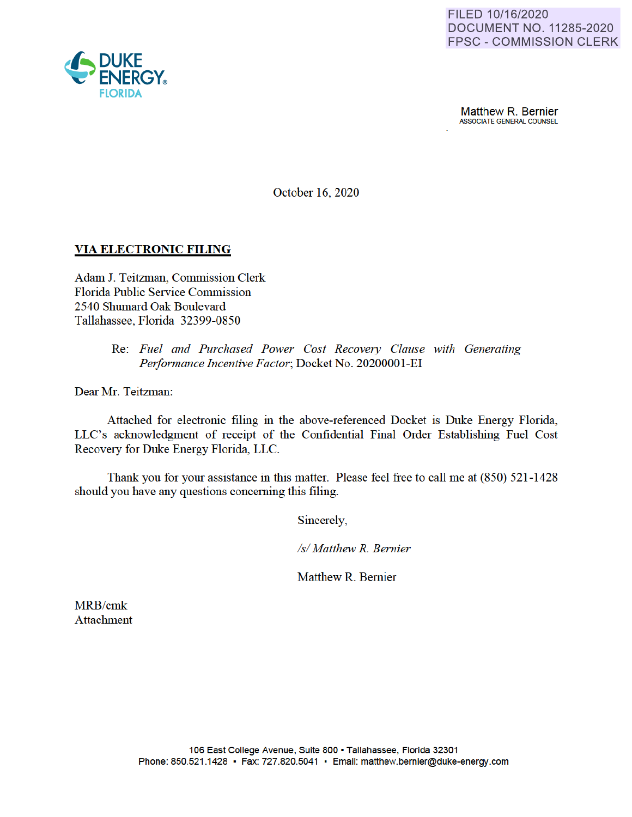

**Matthew R. Bernier**<br>ASSOCIATE GENERAL COUNSEL

October 16, 2020

## **VIA ELECTRONIC FILING**

Adam J. Teitzman, Commission Clerk Florida Public Service Commission 2540 Shumard Oak Boulevard Tallahassee, Florida 32399-0850

> Re: *Fuel and Purchased Power Cost Recovery Clause with Generating*  Performance Incentive Factor; Docket No. 20200001-EI

Dear Mr. Teitzman:

Attached for electronic filing in the above-referenced Docket is Duke Energy Florida, LLC's acknowledgment of receipt of the Confidential Final Order Establishing Fuel Cost Recovery for Duke Energy Florida, LLC.

Thank you for your assistance in this matter. Please feel free to call me at (850) 521-1428 should you have any questions concerning this filing.

Sincerely,

*Isl Matthew R. Bernier* 

Matthew R. Bernier

MRB/cmk Attachment

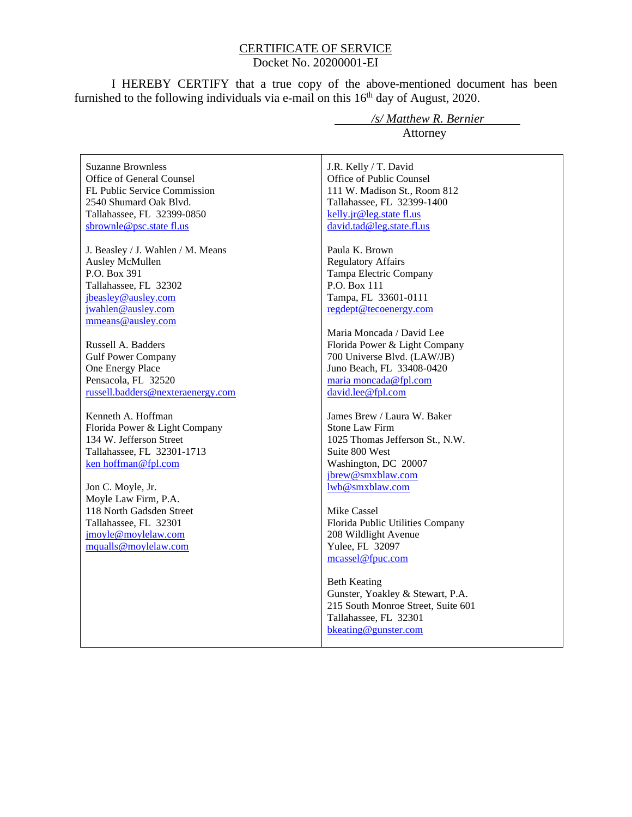## CERTIFICATE OF SERVICE Docket No. 20200001-EI

I HEREBY CERTIFY that a true copy of the above-mentioned document has been furnished to the following individuals via e-mail on this  $16<sup>th</sup>$  day of August, 2020.

Suzanne Brownless Office of General Counsel FL Public Service Commission 2540 Shumard Oak Blvd. Tallahassee, FL 32399-0850 sbrownle@psc.state fl.us

J. Beasley / J. Wahlen / M. Means Ausley McMullen P.O. Box 391 Tallahassee, FL 32302 jbeasley@ausley.com jwahlen@ausley.com mmeans@ausley.com

Russell A. Badders Gulf Power Company One Energy Place Pensacola, FL 32520 russell.badders@nexteraenergy.com

Kenneth A. Hoffman Florida Power & Light Company 134 W. Jefferson Street Tallahassee, FL 32301-1713 ken hoffman@fpl.com

Jon C. Moyle, Jr. Moyle Law Firm, P.A. 118 North Gadsden Street Tallahassee, FL 32301 jmoyle@moylelaw.com mqualls@moylelaw.com

 */s/ Matthew R. Bernier* Attorney

J.R. Kelly / T. David Office of Public Counsel 111 W. Madison St., Room 812 Tallahassee, FL 32399-1400 kelly.jr@leg.state fl.us david.tad@leg.state.fl.us

Paula K. Brown Regulatory Affairs Tampa Electric Company P.O. Box 111 Tampa, FL 33601-0111 regdept@tecoenergy.com

Maria Moncada / David Lee Florida Power & Light Company 700 Universe Blvd. (LAW/JB) Juno Beach, FL 33408-0420 maria moncada@fpl.com david.lee@fpl.com

James Brew / Laura W. Baker Stone Law Firm 1025 Thomas Jefferson St., N.W. Suite 800 West Washington, DC 20007 jbrew@smxblaw.com lwb@smxblaw.com

Mike Cassel Florida Public Utilities Company 208 Wildlight Avenue Yulee, FL 32097 mcassel@fpuc.com

Beth Keating Gunster, Yoakley & Stewart, P.A. 215 South Monroe Street, Suite 601 Tallahassee, FL 32301 bkeating@gunster.com